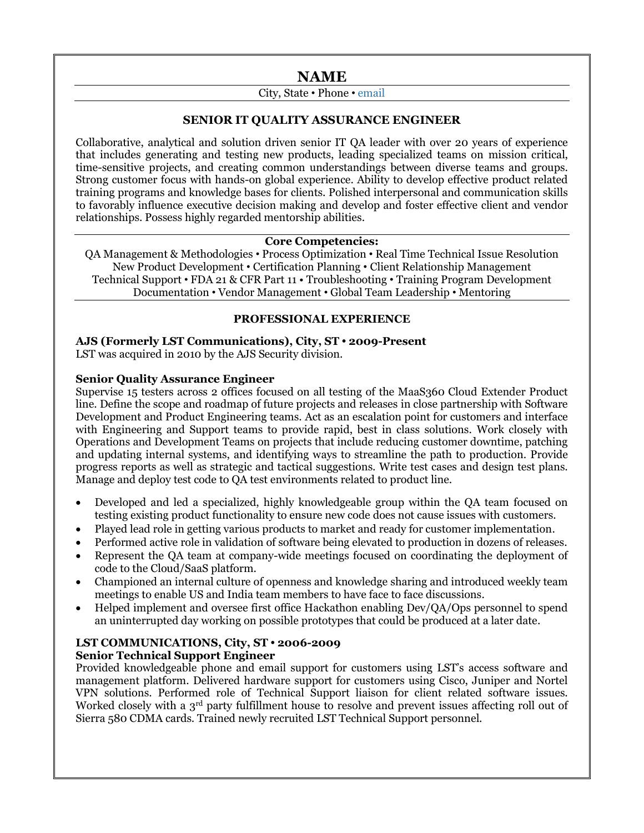# **NAME**

# City, State • Phone • email

# **SENIOR IT QUALITY ASSURANCE ENGINEER**

Collaborative, analytical and solution driven senior IT QA leader with over 20 years of experience that includes generating and testing new products, leading specialized teams on mission critical, time-sensitive projects, and creating common understandings between diverse teams and groups. Strong customer focus with hands-on global experience. Ability to develop effective product related training programs and knowledge bases for clients. Polished interpersonal and communication skills to favorably influence executive decision making and develop and foster effective client and vendor relationships. Possess highly regarded mentorship abilities.

#### **Core Competencies:**

QA Management & Methodologies • Process Optimization • Real Time Technical Issue Resolution New Product Development • Certification Planning • Client Relationship Management Technical Support • FDA 21 & CFR Part 11 • Troubleshooting • Training Program Development Documentation • Vendor Management • Global Team Leadership • Mentoring

#### **PROFESSIONAL EXPERIENCE**

#### **AJS (Formerly LST Communications), City, ST • 2009-Present**

LST was acquired in 2010 by the AJS Security division.

#### **Senior Quality Assurance Engineer**

Supervise 15 testers across 2 offices focused on all testing of the MaaS360 Cloud Extender Product line. Define the scope and roadmap of future projects and releases in close partnership with Software Development and Product Engineering teams. Act as an escalation point for customers and interface with Engineering and Support teams to provide rapid, best in class solutions. Work closely with Operations and Development Teams on projects that include reducing customer downtime, patching and updating internal systems, and identifying ways to streamline the path to production. Provide progress reports as well as strategic and tactical suggestions. Write test cases and design test plans. Manage and deploy test code to QA test environments related to product line.

- Developed and led a specialized, highly knowledgeable group within the QA team focused on testing existing product functionality to ensure new code does not cause issues with customers.
- Played lead role in getting various products to market and ready for customer implementation.
- Performed active role in validation of software being elevated to production in dozens of releases.
- Represent the QA team at company-wide meetings focused on coordinating the deployment of code to the Cloud/SaaS platform.
- Championed an internal culture of openness and knowledge sharing and introduced weekly team meetings to enable US and India team members to have face to face discussions.
- Helped implement and oversee first office Hackathon enabling Dev/QA/Ops personnel to spend an uninterrupted day working on possible prototypes that could be produced at a later date.

#### **LST COMMUNICATIONS, City, ST • 2006-2009 Senior Technical Support Engineer**

Provided knowledgeable phone and email support for customers using LST's access software and management platform. Delivered hardware support for customers using Cisco, Juniper and Nortel VPN solutions. Performed role of Technical Support liaison for client related software issues. Worked closely with a 3<sup>rd</sup> party fulfillment house to resolve and prevent issues affecting roll out of Sierra 580 CDMA cards. Trained newly recruited LST Technical Support personnel.